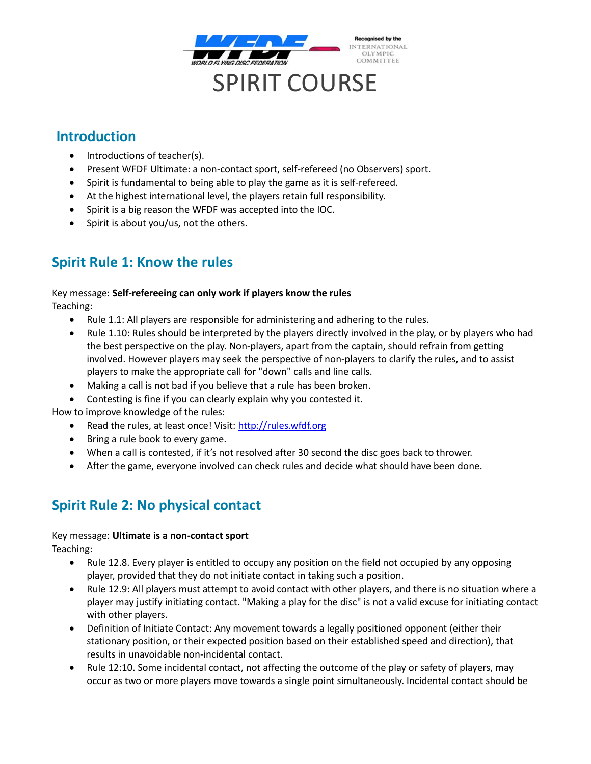

### **Introduction**

- Introductions of teacher(s).
- Present WFDF Ultimate: a non-contact sport, self-refereed (no Observers) sport.
- Spirit is fundamental to being able to play the game as it is self-refereed.
- At the highest international level, the players retain full responsibility.
- Spirit is a big reason the WFDF was accepted into the IOC.
- Spirit is about you/us, not the others.

# **Spirit Rule 1: Know the rules**

### Key message: **Self-refereeing can only work if players know the rules**

Teaching:

- Rule 1.1: All players are responsible for administering and adhering to the rules.
- Rule 1.10: Rules should be interpreted by the players directly involved in the play, or by players who had the best perspective on the play. Non-players, apart from the captain, should refrain from getting involved. However players may seek the perspective of non-players to clarify the rules, and to assist players to make the appropriate call for "down" calls and line calls.
- Making a call is not bad if you believe that a rule has been broken.
- Contesting is fine if you can clearly explain why you contested it.

How to improve knowledge of the rules:

- Read the rules, at least once! Visit[: http://rules.wfdf.org](http://rules.wfdf.org/)
- Bring a rule book to every game.
- When a call is contested, if it's not resolved after 30 second the disc goes back to thrower.
- After the game, everyone involved can check rules and decide what should have been done.

# **Spirit Rule 2: No physical contact**

### Key message: **Ultimate is a non-contact sport**

Teaching:

- Rule 12.8. Every player is entitled to occupy any position on the field not occupied by any opposing player, provided that they do not initiate contact in taking such a position.
- Rule 12.9: All players must attempt to avoid contact with other players, and there is no situation where a player may justify initiating contact. "Making a play for the disc" is not a valid excuse for initiating contact with other players.
- Definition of Initiate Contact: Any movement towards a legally positioned opponent (either their stationary position, or their expected position based on their established speed and direction), that results in unavoidable non-incidental contact.
- Rule 12:10. Some incidental contact, not affecting the outcome of the play or safety of players, may occur as two or more players move towards a single point simultaneously. Incidental contact should be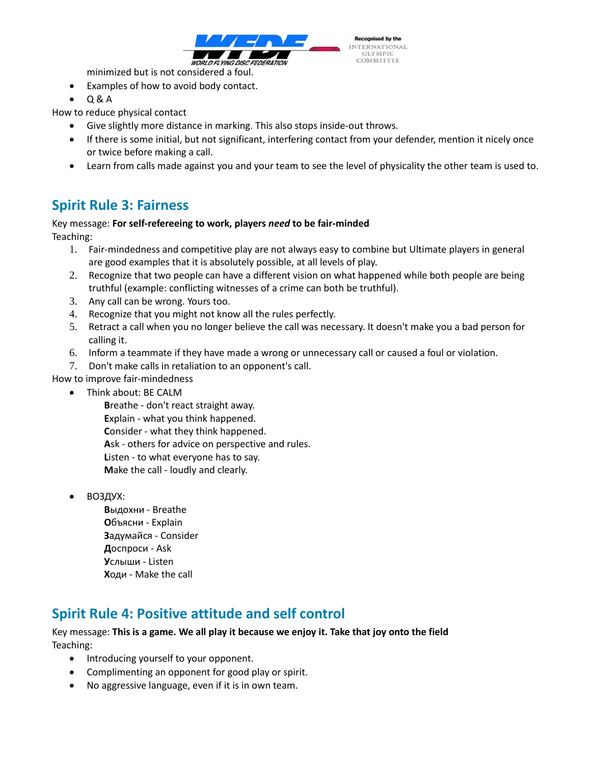

minimized but is not considered a foul.

- Examples of how to avoid body contact.
- $\bullet$  Q&A

How to reduce physical contact

- Give slightly more distance in marking. This also stops inside-out throws.
- If there is some initial, but not significant, interfering contact from your defender, mention it nicely once or twice before making a call.
- Learn from calls made against you and your team to see the level of physicality the other team is used to.

## **Spirit Rule 3: Fairness**

#### Key message: For self-refereeing to work, players need to be fair-minded Teaching:

- 1. Fair-mindedness and competitive play are not always easy to combine but Ultimate players in general are good examples that it is absolutely possible, at all levels of play.
- 2. Recognize that two people can have a different vision on what happened while both people are being truthful (example: conflicting witnesses of a crime can both be truthful).
- 3. Any call can be wrong. Yours too.
- 4. Recognize that you might not know all the rules perfectly.
- 5. Retract a call when you no longer believe the call was necessary. It doesn't make you a bad person for calling it.
- 6. Inform a teammate if they have made a wrong or unnecessary call or caused a foul or violation.
- 7. Don't make calls in retaliation to an opponent's call.
- How to improve fair-mindedness
	- Think about: BE CALM
		- Breathe don't react straight away. Explain - what you think happened. Consider - what they think happened. Ask - others for advice on perspective and rules. Listen - to what everyone has to say. Make the call - loudly and clearly.
	- ВОЗДУХ:
		- Выдохни Breathe Объясни - Explain Задумайся - Consider Доспроси - Ask Услыши - Listen Ходи - Make the call

# **Spirit Rule 4: Positive attitude and self control**

#### Key message: This is a game. We all play it because we enjoy it. Take that joy onto the field Teaching:

- Introducing yourself to your opponent.
- Complimenting an opponent for good play or spirit.
- No aggressive language, even if it is in own team.